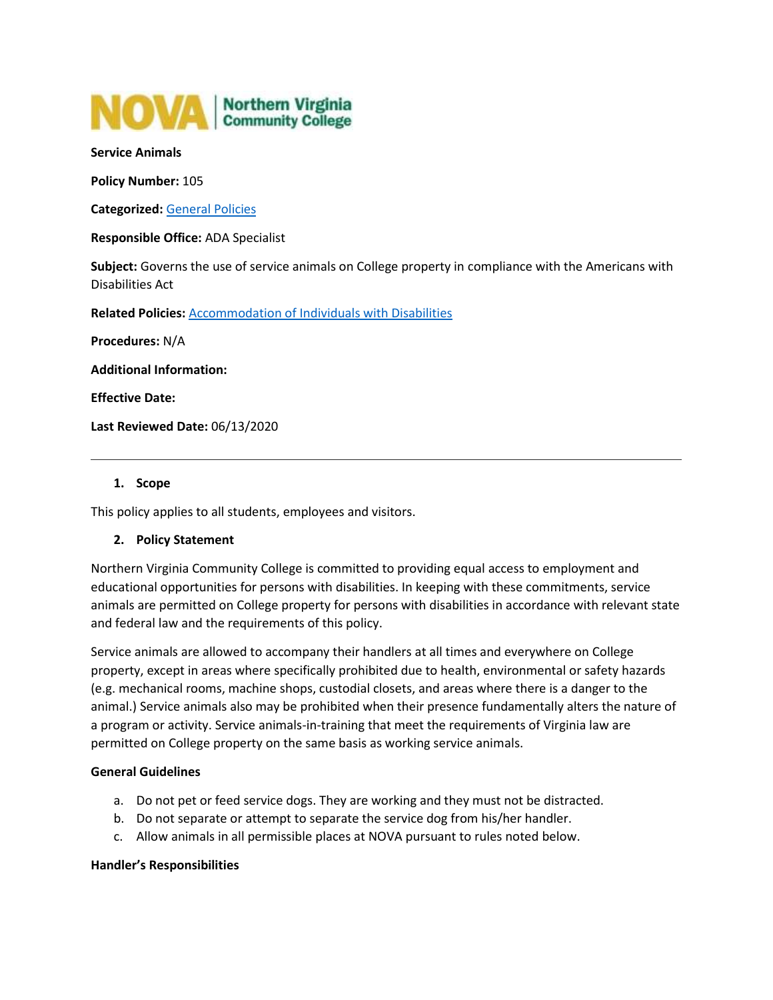

#### **Service Animals**

**Policy Number:** 105

**Categorized:** [General Policies](https://www.nvcc.edu/policies/Default.aspx?cat=General%20Policies)

**Responsible Office:** ADA Specialist

**Subject:** Governs the use of service animals on College property in compliance with the Americans with Disabilities Act

**Related Policies:** [Accommodation of Individuals with Disabilities](https://www.nvcc.edu/policies/policies.aspx?num=103)

**Procedures:** N/A

**Additional Information:**

**Effective Date:**

**Last Reviewed Date:** 06/13/2020

#### **1. Scope**

This policy applies to all students, employees and visitors.

### **2. Policy Statement**

Northern Virginia Community College is committed to providing equal access to employment and educational opportunities for persons with disabilities. In keeping with these commitments, service animals are permitted on College property for persons with disabilities in accordance with relevant state and federal law and the requirements of this policy.

Service animals are allowed to accompany their handlers at all times and everywhere on College property, except in areas where specifically prohibited due to health, environmental or safety hazards (e.g. mechanical rooms, machine shops, custodial closets, and areas where there is a danger to the animal.) Service animals also may be prohibited when their presence fundamentally alters the nature of a program or activity. Service animals-in-training that meet the requirements of Virginia law are permitted on College property on the same basis as working service animals.

#### **General Guidelines**

- a. Do not pet or feed service dogs. They are working and they must not be distracted.
- b. Do not separate or attempt to separate the service dog from his/her handler.
- c. Allow animals in all permissible places at NOVA pursuant to rules noted below.

#### **Handler's Responsibilities**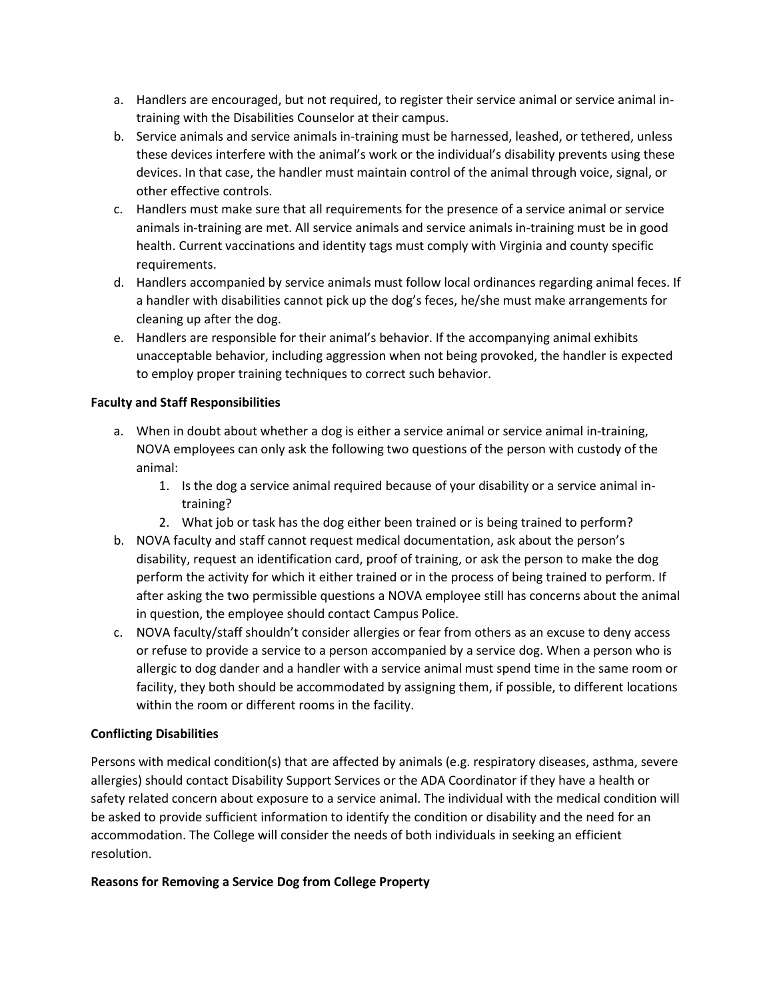- a. Handlers are encouraged, but not required, to register their service animal or service animal intraining with the Disabilities Counselor at their campus.
- b. Service animals and service animals in-training must be harnessed, leashed, or tethered, unless these devices interfere with the animal's work or the individual's disability prevents using these devices. In that case, the handler must maintain control of the animal through voice, signal, or other effective controls.
- c. Handlers must make sure that all requirements for the presence of a service animal or service animals in-training are met. All service animals and service animals in-training must be in good health. Current vaccinations and identity tags must comply with Virginia and county specific requirements.
- d. Handlers accompanied by service animals must follow local ordinances regarding animal feces. If a handler with disabilities cannot pick up the dog's feces, he/she must make arrangements for cleaning up after the dog.
- e. Handlers are responsible for their animal's behavior. If the accompanying animal exhibits unacceptable behavior, including aggression when not being provoked, the handler is expected to employ proper training techniques to correct such behavior.

## **Faculty and Staff Responsibilities**

- a. When in doubt about whether a dog is either a service animal or service animal in-training, NOVA employees can only ask the following two questions of the person with custody of the animal:
	- 1. Is the dog a service animal required because of your disability or a service animal intraining?
	- 2. What job or task has the dog either been trained or is being trained to perform?
- b. NOVA faculty and staff cannot request medical documentation, ask about the person's disability, request an identification card, proof of training, or ask the person to make the dog perform the activity for which it either trained or in the process of being trained to perform. If after asking the two permissible questions a NOVA employee still has concerns about the animal in question, the employee should contact Campus Police.
- c. NOVA faculty/staff shouldn't consider allergies or fear from others as an excuse to deny access or refuse to provide a service to a person accompanied by a service dog. When a person who is allergic to dog dander and a handler with a service animal must spend time in the same room or facility, they both should be accommodated by assigning them, if possible, to different locations within the room or different rooms in the facility.

# **Conflicting Disabilities**

Persons with medical condition(s) that are affected by animals (e.g. respiratory diseases, asthma, severe allergies) should contact Disability Support Services or the ADA Coordinator if they have a health or safety related concern about exposure to a service animal. The individual with the medical condition will be asked to provide sufficient information to identify the condition or disability and the need for an accommodation. The College will consider the needs of both individuals in seeking an efficient resolution.

### **Reasons for Removing a Service Dog from College Property**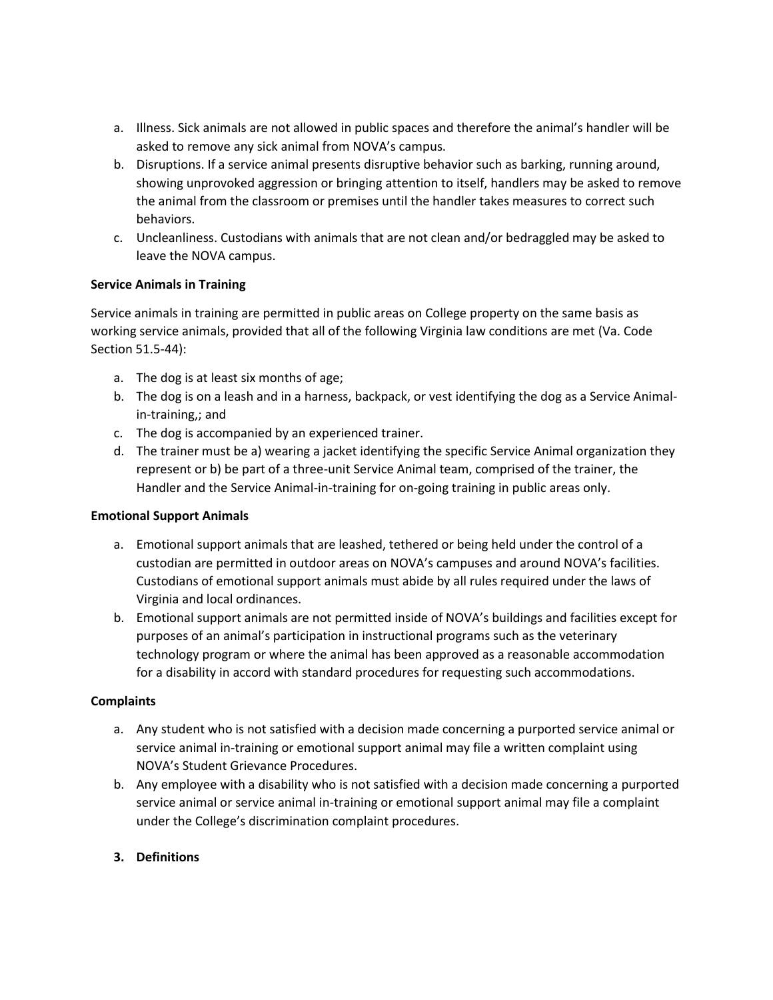- a. Illness. Sick animals are not allowed in public spaces and therefore the animal's handler will be asked to remove any sick animal from NOVA's campus.
- b. Disruptions. If a service animal presents disruptive behavior such as barking, running around, showing unprovoked aggression or bringing attention to itself, handlers may be asked to remove the animal from the classroom or premises until the handler takes measures to correct such behaviors.
- c. Uncleanliness. Custodians with animals that are not clean and/or bedraggled may be asked to leave the NOVA campus.

## **Service Animals in Training**

Service animals in training are permitted in public areas on College property on the same basis as working service animals, provided that all of the following Virginia law conditions are met (Va. Code Section 51.5-44):

- a. The dog is at least six months of age;
- b. The dog is on a leash and in a harness, backpack, or vest identifying the dog as a Service Animalin-training,; and
- c. The dog is accompanied by an experienced trainer.
- d. The trainer must be a) wearing a jacket identifying the specific Service Animal organization they represent or b) be part of a three-unit Service Animal team, comprised of the trainer, the Handler and the Service Animal-in-training for on-going training in public areas only.

### **Emotional Support Animals**

- a. Emotional support animals that are leashed, tethered or being held under the control of a custodian are permitted in outdoor areas on NOVA's campuses and around NOVA's facilities. Custodians of emotional support animals must abide by all rules required under the laws of Virginia and local ordinances.
- b. Emotional support animals are not permitted inside of NOVA's buildings and facilities except for purposes of an animal's participation in instructional programs such as the veterinary technology program or where the animal has been approved as a reasonable accommodation for a disability in accord with standard procedures for requesting such accommodations.

### **Complaints**

- a. Any student who is not satisfied with a decision made concerning a purported service animal or service animal in-training or emotional support animal may file a written complaint using NOVA's Student Grievance Procedures.
- b. Any employee with a disability who is not satisfied with a decision made concerning a purported service animal or service animal in-training or emotional support animal may file a complaint under the College's discrimination complaint procedures.

# **3. Definitions**